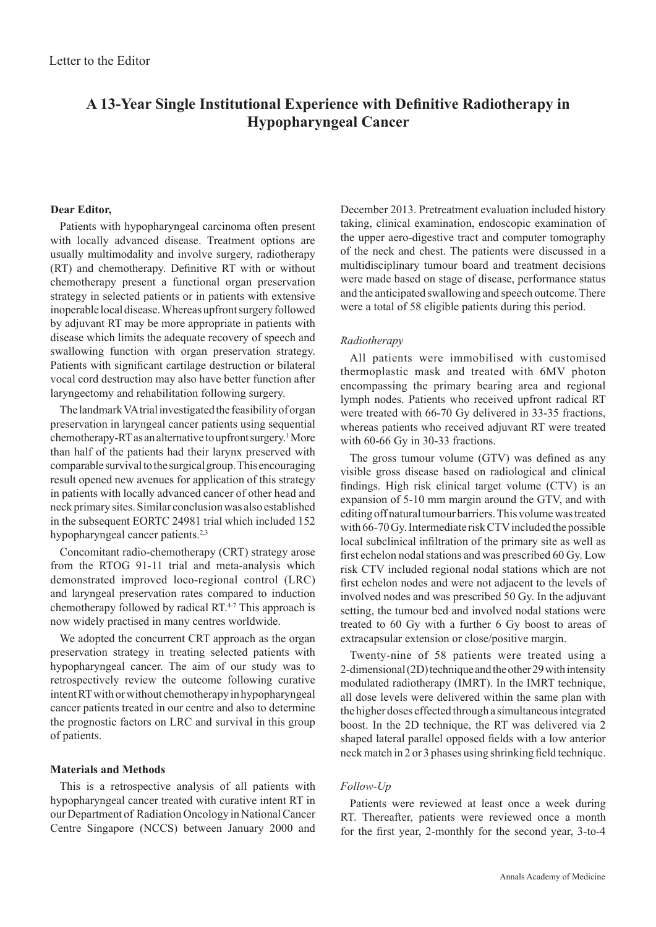# **A 13-Year Single Institutional Experience with Definitive Radiotherapy in Hypopharyngeal Cancer**

## **Dear Editor,**

Patients with hypopharyngeal carcinoma often present with locally advanced disease. Treatment options are usually multimodality and involve surgery, radiotherapy (RT) and chemotherapy. Definitive RT with or without chemotherapy present a functional organ preservation strategy in selected patients or in patients with extensive inoperable local disease. Whereas upfront surgery followed by adjuvant RT may be more appropriate in patients with disease which limits the adequate recovery of speech and swallowing function with organ preservation strategy. Patients with significant cartilage destruction or bilateral vocal cord destruction may also have better function after laryngectomy and rehabilitation following surgery.

The landmark VA trial investigated the feasibility of organ preservation in laryngeal cancer patients using sequential chemotherapy-RT as an alternative to upfront surgery.<sup>1</sup> More than half of the patients had their larynx preserved with comparable survival to the surgical group. This encouraging result opened new avenues for application of this strategy in patients with locally advanced cancer of other head and neck primary sites. Similar conclusion was also established in the subsequent EORTC 24981 trial which included 152 hypopharyngeal cancer patients.<sup>2,3</sup>

Concomitant radio-chemotherapy (CRT) strategy arose from the RTOG 91-11 trial and meta-analysis which demonstrated improved loco-regional control (LRC) and laryngeal preservation rates compared to induction chemotherapy followed by radical RT.<sup>4-7</sup> This approach is now widely practised in many centres worldwide.

We adopted the concurrent CRT approach as the organ preservation strategy in treating selected patients with hypopharyngeal cancer. The aim of our study was to retrospectively review the outcome following curative intent RT with or without chemotherapy in hypopharyngeal cancer patients treated in our centre and also to determine the prognostic factors on LRC and survival in this group of patients.

## **Materials and Methods**

This is a retrospective analysis of all patients with hypopharyngeal cancer treated with curative intent RT in our Department of Radiation Oncology in National Cancer Centre Singapore (NCCS) between January 2000 and

December 2013. Pretreatment evaluation included history taking, clinical examination, endoscopic examination of the upper aero-digestive tract and computer tomography of the neck and chest. The patients were discussed in a multidisciplinary tumour board and treatment decisions were made based on stage of disease, performance status and the anticipated swallowing and speech outcome. There were a total of 58 eligible patients during this period.

## *Radiotherapy*

All patients were immobilised with customised thermoplastic mask and treated with 6MV photon encompassing the primary bearing area and regional lymph nodes. Patients who received upfront radical RT were treated with 66-70 Gy delivered in 33-35 fractions, whereas patients who received adjuvant RT were treated with 60-66 Gy in 30-33 fractions.

The gross tumour volume (GTV) was defined as any visible gross disease based on radiological and clinical findings. High risk clinical target volume (CTV) is an expansion of 5-10 mm margin around the GTV, and with editing off natural tumour barriers. This volume was treated with 66-70 Gy. Intermediate risk CTV included the possible local subclinical infiltration of the primary site as well as first echelon nodal stations and was prescribed 60 Gy. Low risk CTV included regional nodal stations which are not first echelon nodes and were not adjacent to the levels of involved nodes and was prescribed 50 Gy. In the adjuvant setting, the tumour bed and involved nodal stations were treated to 60 Gy with a further 6 Gy boost to areas of extracapsular extension or close/positive margin.

Twenty-nine of 58 patients were treated using a 2-dimensional (2D) technique and the other 29 with intensity modulated radiotherapy (IMRT). In the IMRT technique, all dose levels were delivered within the same plan with the higher doses effected through a simultaneous integrated boost. In the 2D technique, the RT was delivered via 2 shaped lateral parallel opposed fields with a low anterior neck match in 2 or 3 phases using shrinking field technique.

## *Follow-Up*

Patients were reviewed at least once a week during RT. Thereafter, patients were reviewed once a month for the first year, 2-monthly for the second year, 3-to-4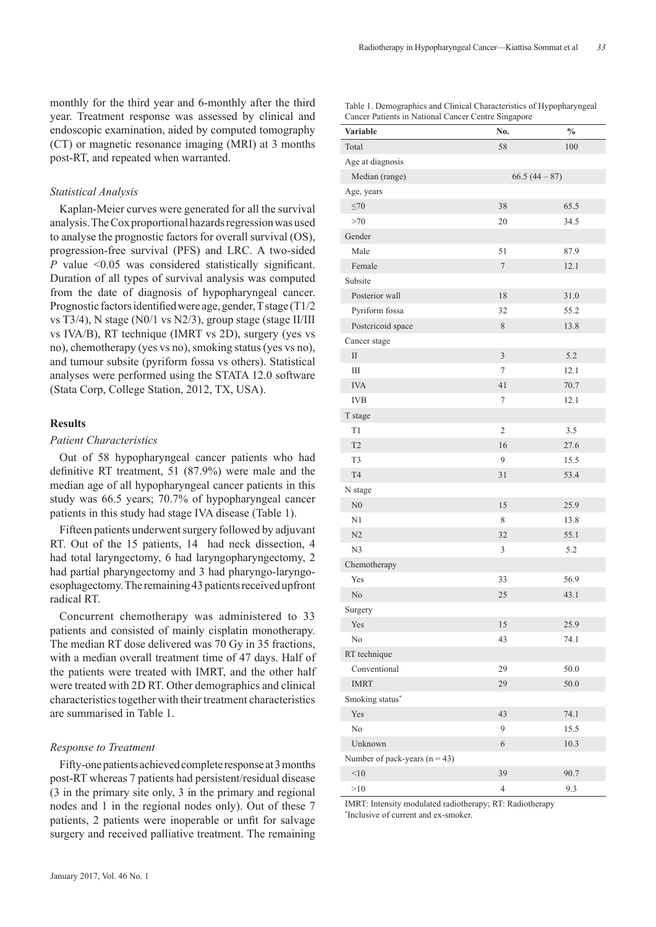monthly for the third year and 6-monthly after the third year. Treatment response was assessed by clinical and endoscopic examination, aided by computed tomography (CT) or magnetic resonance imaging (MRI) at 3 months post-RT, and repeated when warranted.

## *Statistical Analysis*

Kaplan-Meier curves were generated for all the survival analysis. The Cox proportional hazards regression was used to analyse the prognostic factors for overall survival (OS), progression-free survival (PFS) and LRC. A two-sided *P* value <0.05 was considered statistically significant. Duration of all types of survival analysis was computed from the date of diagnosis of hypopharyngeal cancer. Prognostic factors identified were age, gender, T stage (T1/2 vs T3/4), N stage (N0/1 vs N2/3), group stage (stage II/III vs IVA/B), RT technique (IMRT vs 2D), surgery (yes vs no), chemotherapy (yes vs no), smoking status (yes vs no), and tumour subsite (pyriform fossa vs others). Statistical analyses were performed using the STATA 12.0 software (Stata Corp, College Station, 2012, TX, USA).

## **Results**

## *Patient Characteristics*

Out of 58 hypopharyngeal cancer patients who had definitive RT treatment, 51 (87.9%) were male and the median age of all hypopharyngeal cancer patients in this study was 66.5 years; 70.7% of hypopharyngeal cancer patients in this study had stage IVA disease (Table 1).

Fifteen patients underwent surgery followed by adjuvant RT. Out of the 15 patients, 14 had neck dissection, 4 had total laryngectomy, 6 had laryngopharyngectomy, 2 had partial pharyngectomy and 3 had pharyngo-laryngoesophagectomy. The remaining 43 patients received upfront radical RT.

Concurrent chemotherapy was administered to 33 patients and consisted of mainly cisplatin monotherapy. The median RT dose delivered was 70 Gy in 35 fractions, with a median overall treatment time of 47 days. Half of the patients were treated with IMRT, and the other half were treated with 2D RT. Other demographics and clinical characteristics together with their treatment characteristics are summarised in Table 1.

### *Response to Treatment*

Fifty-one patients achieved complete response at 3 months post-RT whereas 7 patients had persistent/residual disease (3 in the primary site only, 3 in the primary and regional nodes and 1 in the regional nodes only). Out of these 7 patients, 2 patients were inoperable or unfit for salvage surgery and received palliative treatment. The remaining

#### Table 1. Demographics and Clinical Characteristics of Hypopharyngeal Cancer Patients in National Cancer Centre Singapore

| Variable                        | No.                     | $\frac{0}{0}$ |  |  |
|---------------------------------|-------------------------|---------------|--|--|
| Total                           | 58                      | 100           |  |  |
| Age at diagnosis                |                         |               |  |  |
| Median (range)                  |                         | $66.5(44-87)$ |  |  |
| Age, years                      |                         |               |  |  |
| $\leq 70$                       | 38                      | 65.5          |  |  |
| >70                             | 20                      | 34.5          |  |  |
| Gender                          |                         |               |  |  |
| Male                            | 51                      | 87.9          |  |  |
| Female                          | $\tau$                  | 12.1          |  |  |
| Subsite                         |                         |               |  |  |
| Posterior wall                  | 18                      | 31.0          |  |  |
| Pyriform fossa                  | 32                      | 55.2          |  |  |
| Postcricoid space               | 8                       | 13.8          |  |  |
| Cancer stage                    |                         |               |  |  |
| $\rm II$                        | $\overline{\mathbf{3}}$ | 5.2           |  |  |
| III                             | 7                       | 12.1          |  |  |
| <b>IVA</b>                      | 41                      | 70.7          |  |  |
| <b>IVB</b>                      | $\tau$                  | 12.1          |  |  |
| T stage                         |                         |               |  |  |
| T1                              | $\overline{2}$          | 3.5           |  |  |
| T <sub>2</sub>                  | 16                      | 27.6          |  |  |
| T3                              | 9                       | 15.5          |  |  |
| T <sub>4</sub>                  | 31                      | 53.4          |  |  |
| N stage                         |                         |               |  |  |
| N <sub>0</sub>                  | 15                      | 25.9          |  |  |
| N1                              | $\,$ 8 $\,$             | 13.8          |  |  |
| N2                              | 32                      | 55.1          |  |  |
| N <sub>3</sub>                  | $\mathfrak{Z}$          | 5.2           |  |  |
| Chemotherapy                    |                         |               |  |  |
| Yes                             | 33                      | 56.9          |  |  |
| No                              | 25                      | 43.1          |  |  |
| Surgery                         |                         |               |  |  |
| Yes                             | 15                      | 25.9          |  |  |
| $\rm No$                        | 43                      | 74.1          |  |  |
| RT technique                    |                         |               |  |  |
| Conventional                    | 29                      | 50.0          |  |  |
| <b>IMRT</b>                     | 29                      | 50.0          |  |  |
| Smoking status*                 |                         |               |  |  |
| Yes                             | 43                      | 74.1          |  |  |
| N <sub>o</sub>                  | 9                       | 15.5          |  |  |
| Unknown                         | 6                       | 10.3          |  |  |
| Number of pack-years $(n = 43)$ |                         |               |  |  |
| $<\!\!10$                       | 39                      | 90.7          |  |  |
| >10                             | $\overline{4}$          | 9.3           |  |  |

IMRT: Intensity modulated radiotherapy; RT: Radiotherapy \* Inclusive of current and ex-smoker.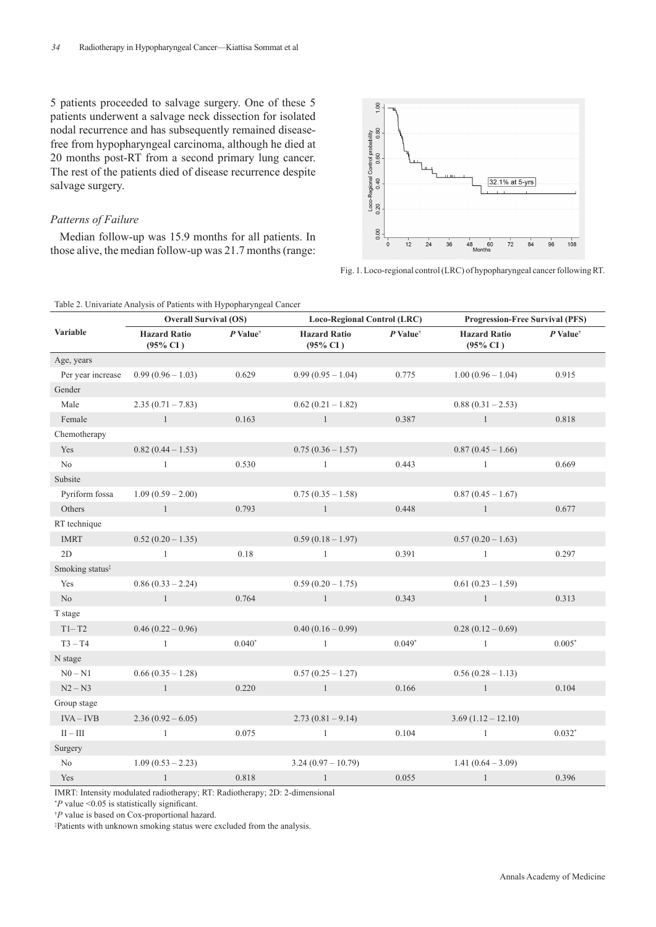5 patients proceeded to salvage surgery. One of these 5 patients underwent a salvage neck dissection for isolated nodal recurrence and has subsequently remained diseasefree from hypopharyngeal carcinoma, although he died at 20 months post-RT from a second primary lung cancer. The rest of the patients died of disease recurrence despite salvage surgery.

## *Patterns of Failure*

Median follow-up was 15.9 months for all patients. In those alive, the median follow-up was 21.7 months (range:



Fig. 1. Loco-regional control (LRC) of hypopharyngeal cancer following RT.

Table 2. Univariate Analysis of Patients with Hypopharyngeal Cancer

|                             | <b>Overall Survival (OS)</b>               |                        | <b>Loco-Regional Control (LRC)</b>         |                        | <b>Progression-Free Survival (PFS)</b>     |                        |
|-----------------------------|--------------------------------------------|------------------------|--------------------------------------------|------------------------|--------------------------------------------|------------------------|
| Variable                    | <b>Hazard Ratio</b><br>$(95\% \text{ CI})$ | $P$ Value <sup>†</sup> | <b>Hazard Ratio</b><br>$(95\% \text{ CI})$ | $P$ Value <sup>†</sup> | <b>Hazard Ratio</b><br>$(95\% \text{ CI})$ | $P$ Value <sup>†</sup> |
| Age, years                  |                                            |                        |                                            |                        |                                            |                        |
| Per year increase           | $0.99(0.96 - 1.03)$                        | 0.629                  | $0.99(0.95 - 1.04)$                        | 0.775                  | $1.00(0.96 - 1.04)$                        | 0.915                  |
| Gender                      |                                            |                        |                                            |                        |                                            |                        |
| Male                        | $2.35(0.71 - 7.83)$                        |                        | $0.62(0.21 - 1.82)$                        |                        | $0.88(0.31 - 2.53)$                        |                        |
| Female                      | $\sim$ $1$                                 | 0.163                  | $\sim$ $1$                                 | 0.387                  | 1                                          | 0.818                  |
| Chemotherapy                |                                            |                        |                                            |                        |                                            |                        |
| Yes                         | $0.82(0.44 - 1.53)$                        |                        | $0.75(0.36 - 1.57)$                        |                        | $0.87(0.45 - 1.66)$                        |                        |
| No                          | -1                                         | 0.530                  | -1                                         | 0.443                  | $\mathbf{1}$                               | 0.669                  |
| Subsite                     |                                            |                        |                                            |                        |                                            |                        |
| Pyriform fossa              | $1.09(0.59 - 2.00)$                        |                        | $0.75(0.35 - 1.58)$                        |                        | $0.87(0.45 - 1.67)$                        |                        |
| Others                      | $\sim$ $1$                                 | 0.793                  | $\sim$ 1                                   | 0.448                  | 1                                          | 0.677                  |
| RT technique                |                                            |                        |                                            |                        |                                            |                        |
| <b>IMRT</b>                 | $0.52(0.20 - 1.35)$                        |                        | $0.59(0.18-1.97)$                          |                        | $0.57(0.20 - 1.63)$                        |                        |
| 2D                          | $\mathbf{1}$                               | 0.18                   | -1                                         | 0.391                  | $\mathbf{1}$                               | 0.297                  |
| Smoking status <sup>‡</sup> |                                            |                        |                                            |                        |                                            |                        |
| Yes                         | $0.86(0.33 - 2.24)$                        |                        | $0.59(0.20-1.75)$                          |                        | $0.61(0.23-1.59)$                          |                        |
| N <sub>o</sub>              | $\sim$ 1                                   | 0.764                  | $\sim$ 1                                   | 0.343                  | 1                                          | 0.313                  |
| T stage                     |                                            |                        |                                            |                        |                                            |                        |
| $T1-T2$                     | $0.46(0.22 - 0.96)$                        |                        | $0.40(0.16-0.99)$                          |                        | $0.28(0.12-0.69)$                          |                        |
| $T3 - T4$                   | $\mathbf{1}$                               | $0.040*$               | $\,$ 1 $\,$                                | $0.049*$               | $\mathbf{1}$                               | $0.005*$               |
| N stage                     |                                            |                        |                                            |                        |                                            |                        |
| $N0 - N1$                   | $0.66(0.35 - 1.28)$                        |                        | $0.57(0.25 - 1.27)$                        |                        | $0.56(0.28 - 1.13)$                        |                        |
| $N2 - N3$                   | $\overline{1}$                             | 0.220                  | $\sim$ $1$                                 | 0.166                  | 1                                          | 0.104                  |
| Group stage                 |                                            |                        |                                            |                        |                                            |                        |
| $IVA - IVB$                 | $2.36(0.92 - 6.05)$                        |                        | $2.73(0.81 - 9.14)$                        |                        | $3.69(1.12 - 12.10)$                       |                        |
| $\rm II-III$                | $\mathbf{1}$                               | 0.075                  | $\mathbf{1}$                               | 0.104                  | $\mathbf{1}$                               | $0.032*$               |
| Surgery                     |                                            |                        |                                            |                        |                                            |                        |
| N <sub>o</sub>              | $1.09(0.53 - 2.23)$                        |                        | $3.24(0.97 - 10.79)$                       |                        | $1.41(0.64 - 3.09)$                        |                        |
| Yes                         | $\mathbf{1}$                               | 0.818                  | $\mathbf{1}$                               | 0.055                  | -1                                         | 0.396                  |

IMRT: Intensity modulated radiotherapy; RT: Radiotherapy; 2D: 2-dimensional

\* *P* value <0.05 is statistically significant.

† *P* value is based on Cox-proportional hazard.

‡ Patients with unknown smoking status were excluded from the analysis.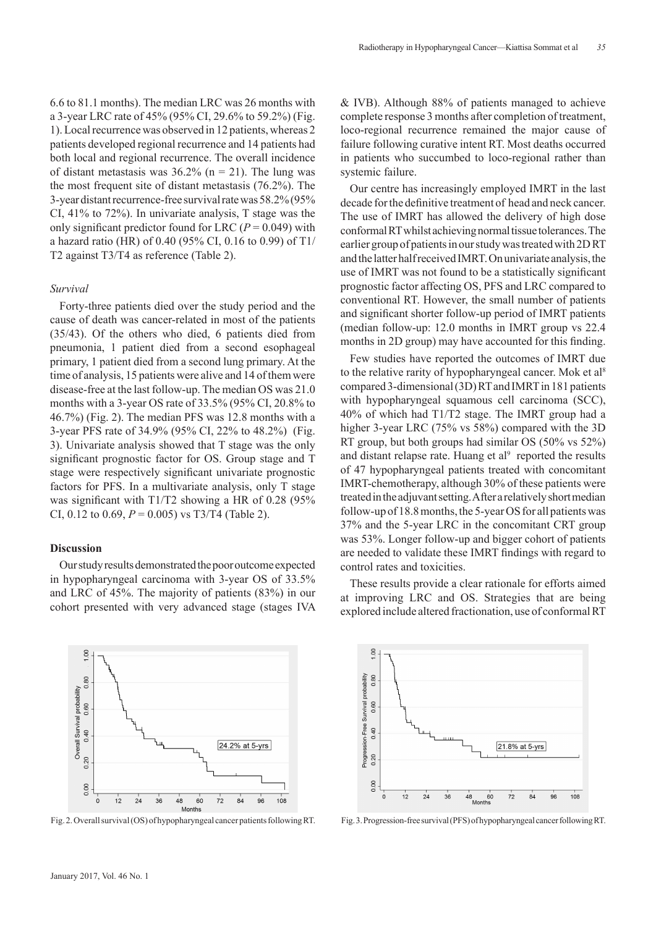6.6 to 81.1 months). The median LRC was 26 months with a 3-year LRC rate of 45% (95% CI, 29.6% to 59.2%) (Fig. 1). Local recurrence was observed in 12 patients, whereas 2 patients developed regional recurrence and 14 patients had both local and regional recurrence. The overall incidence of distant metastasis was  $36.2\%$  (n = 21). The lung was the most frequent site of distant metastasis (76.2%). The 3-year distant recurrence-free survival rate was 58.2% (95% CI, 41% to 72%). In univariate analysis, T stage was the only significant predictor found for LRC ( $P = 0.049$ ) with a hazard ratio (HR) of 0.40 (95% CI, 0.16 to 0.99) of T1/ T2 against T3/T4 as reference (Table 2).

### *Survival*

Forty-three patients died over the study period and the cause of death was cancer-related in most of the patients (35/43). Of the others who died, 6 patients died from pneumonia, 1 patient died from a second esophageal primary, 1 patient died from a second lung primary. At the time of analysis, 15 patients were alive and 14 of them were disease-free at the last follow-up. The median OS was 21.0 months with a 3-year OS rate of 33.5% (95% CI, 20.8% to 46.7%) (Fig. 2). The median PFS was 12.8 months with a 3-year PFS rate of 34.9% (95% CI, 22% to 48.2%) (Fig. 3). Univariate analysis showed that T stage was the only significant prognostic factor for OS. Group stage and T stage were respectively significant univariate prognostic factors for PFS. In a multivariate analysis, only T stage was significant with T1/T2 showing a HR of 0.28 (95% CI, 0.12 to 0.69,  $P = 0.005$ ) vs T3/T4 (Table 2).

#### **Discussion**

 $1.00$ 

0.80

0.60

 $0.40$ 

0.20

0.00

Overall Survival probability

Our study results demonstrated the poor outcome expected in hypopharyngeal carcinoma with 3-year OS of 33.5% and LRC of 45%. The majority of patients (83%) in our cohort presented with very advanced stage (stages IVA



48

60  $72$  $84$  $96$ 108

24.2% at 5-yrs

& IVB). Although 88% of patients managed to achieve complete response 3 months after completion of treatment, loco-regional recurrence remained the major cause of failure following curative intent RT. Most deaths occurred in patients who succumbed to loco-regional rather than systemic failure.

Our centre has increasingly employed IMRT in the last decade for the definitive treatment of head and neck cancer. The use of IMRT has allowed the delivery of high dose conformal RT whilst achieving normal tissue tolerances. The earlier group of patients in our study was treated with 2D RT and the latter half received IMRT. On univariate analysis, the use of IMRT was not found to be a statistically significant prognostic factor affecting OS, PFS and LRC compared to conventional RT. However, the small number of patients and significant shorter follow-up period of IMRT patients (median follow-up: 12.0 months in IMRT group vs 22.4 months in 2D group) may have accounted for this finding.

Few studies have reported the outcomes of IMRT due to the relative rarity of hypopharyngeal cancer. Mok et al<sup>8</sup> compared 3-dimensional (3D) RT and IMRT in 181 patients with hypopharyngeal squamous cell carcinoma (SCC), 40% of which had T1/T2 stage. The IMRT group had a higher 3-year LRC (75% vs 58%) compared with the 3D RT group, but both groups had similar OS (50% vs 52%) and distant relapse rate. Huang et  $al^9$  reported the results of 47 hypopharyngeal patients treated with concomitant IMRT-chemotherapy, although 30% of these patients were treated in the adjuvant setting. After a relatively short median follow-up of 18.8 months, the 5-year OS for all patients was 37% and the 5-year LRC in the concomitant CRT group was 53%. Longer follow-up and bigger cohort of patients are needed to validate these IMRT findings with regard to control rates and toxicities.

These results provide a clear rationale for efforts aimed at improving LRC and OS. Strategies that are being explored include altered fractionation, use of conformal RT





 $12$  $24$  $36$